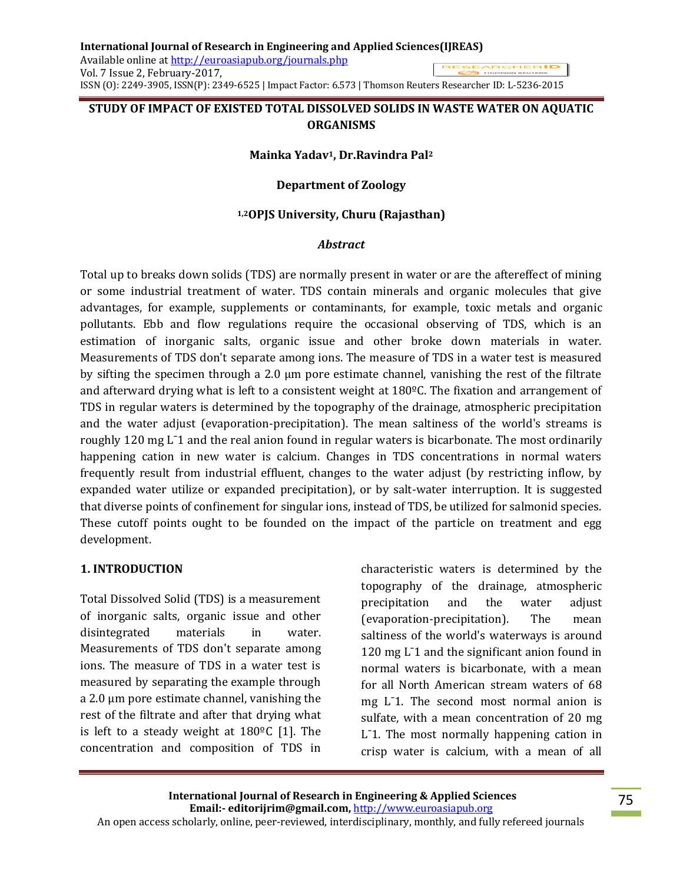# **STUDY OF IMPACT OF EXISTED TOTAL DISSOLVED SOLIDS IN WASTE WATER ON AQUATIC ORGANISMS**

## **Mainka Yadav1, Dr.Ravindra Pal<sup>2</sup>**

## **Department of Zoology**

## **1,2OPJS University, Churu (Rajasthan)**

## *Abstract*

Total up to breaks down solids (TDS) are normally present in water or are the aftereffect of mining or some industrial treatment of water. TDS contain minerals and organic molecules that give advantages, for example, supplements or contaminants, for example, toxic metals and organic pollutants. Ebb and flow regulations require the occasional observing of TDS, which is an estimation of inorganic salts, organic issue and other broke down materials in water. Measurements of TDS don't separate among ions. The measure of TDS in a water test is measured by sifting the specimen through a 2.0 μm pore estimate channel, vanishing the rest of the filtrate and afterward drying what is left to a consistent weight at 180ºC. The fixation and arrangement of TDS in regular waters is determined by the topography of the drainage, atmospheric precipitation and the water adjust (evaporation-precipitation). The mean saltiness of the world's streams is roughly 120 mg L<sup>-1</sup> and the real anion found in regular waters is bicarbonate. The most ordinarily happening cation in new water is calcium. Changes in TDS concentrations in normal waters frequently result from industrial effluent, changes to the water adjust (by restricting inflow, by expanded water utilize or expanded precipitation), or by salt-water interruption. It is suggested that diverse points of confinement for singular ions, instead of TDS, be utilized for salmonid species. These cutoff points ought to be founded on the impact of the particle on treatment and egg development.

#### **1. INTRODUCTION**

Total Dissolved Solid (TDS) is a measurement of inorganic salts, organic issue and other disintegrated materials in water. Measurements of TDS don't separate among ions. The measure of TDS in a water test is measured by separating the example through a 2.0 μm pore estimate channel, vanishing the rest of the filtrate and after that drying what is left to a steady weight at 180ºC [1]. The concentration and composition of TDS in characteristic waters is determined by the topography of the drainage, atmospheric precipitation and the water adjust (evaporation-precipitation). The mean saltiness of the world's waterways is around 120 mg L<sup>-</sup>1 and the significant anion found in normal waters is bicarbonate, with a mean for all North American stream waters of 68 mg L¯1. The second most normal anion is sulfate, with a mean concentration of 20 mg L<sup>-1</sup>. The most normally happening cation in crisp water is calcium, with a mean of all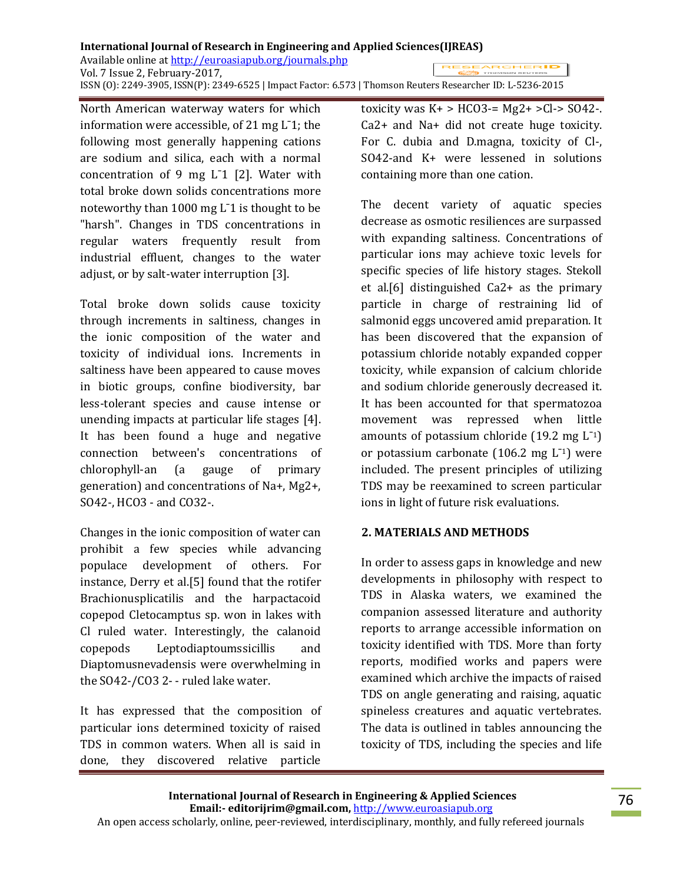#### **International Journal of Research in Engineering and Applied Sciences(IJREAS)** Available online at http://euroasiapub.org/journals.php RESEARCHER**ID** Vol. 7 Issue 2, February-2017, ISSN (O): 2249-3905, ISSN(P): 2349-6525 | Impact Factor: 6.573 | Thomson Reuters Researcher ID: L-5236-2015

North American waterway waters for which information were accessible, of 21 mg L¯1; the following most generally happening cations are sodium and silica, each with a normal concentration of 9 mg  $L^-1$  [2]. Water with total broke down solids concentrations more noteworthy than 1000 mg L¯1 is thought to be "harsh". Changes in TDS concentrations in regular waters frequently result from industrial effluent, changes to the water adjust, or by salt-water interruption [3].

Total broke down solids cause toxicity through increments in saltiness, changes in the ionic composition of the water and toxicity of individual ions. Increments in saltiness have been appeared to cause moves in biotic groups, confine biodiversity, bar less-tolerant species and cause intense or unending impacts at particular life stages [4]. It has been found a huge and negative connection between's concentrations of chlorophyll-an (a gauge of primary generation) and concentrations of Na+, Mg2+, SO42-, HCO3 - and CO32-.

Changes in the ionic composition of water can prohibit a few species while advancing populace development of others. For instance, Derry et al.[5] found that the rotifer Brachionusplicatilis and the harpactacoid copepod Cletocamptus sp. won in lakes with Cl ruled water. Interestingly, the calanoid copepods Leptodiaptoumssicillis and Diaptomusnevadensis were overwhelming in the SO42-/CO3 2- - ruled lake water.

It has expressed that the composition of particular ions determined toxicity of raised TDS in common waters. When all is said in done, they discovered relative particle

toxicity was  $K+$  > HCO3-= Mg2+ >Cl-> SO42-. Ca2+ and Na+ did not create huge toxicity. For C. dubia and D.magna, toxicity of Cl-, SO42-and K+ were lessened in solutions containing more than one cation.

The decent variety of aquatic species decrease as osmotic resiliences are surpassed with expanding saltiness. Concentrations of particular ions may achieve toxic levels for specific species of life history stages. Stekoll et al.[6] distinguished Ca2+ as the primary particle in charge of restraining lid of salmonid eggs uncovered amid preparation. It has been discovered that the expansion of potassium chloride notably expanded copper toxicity, while expansion of calcium chloride and sodium chloride generously decreased it. It has been accounted for that spermatozoa movement was repressed when little amounts of potassium chloride  $(19.2 \text{ mg } L^{-1})$ or potassium carbonate  $(106.2 \text{ mg } L^{-1})$  were included. The present principles of utilizing TDS may be reexamined to screen particular ions in light of future risk evaluations.

# **2. MATERIALS AND METHODS**

In order to assess gaps in knowledge and new developments in philosophy with respect to TDS in Alaska waters, we examined the companion assessed literature and authority reports to arrange accessible information on toxicity identified with TDS. More than forty reports, modified works and papers were examined which archive the impacts of raised TDS on angle generating and raising, aquatic spineless creatures and aquatic vertebrates. The data is outlined in tables announcing the toxicity of TDS, including the species and life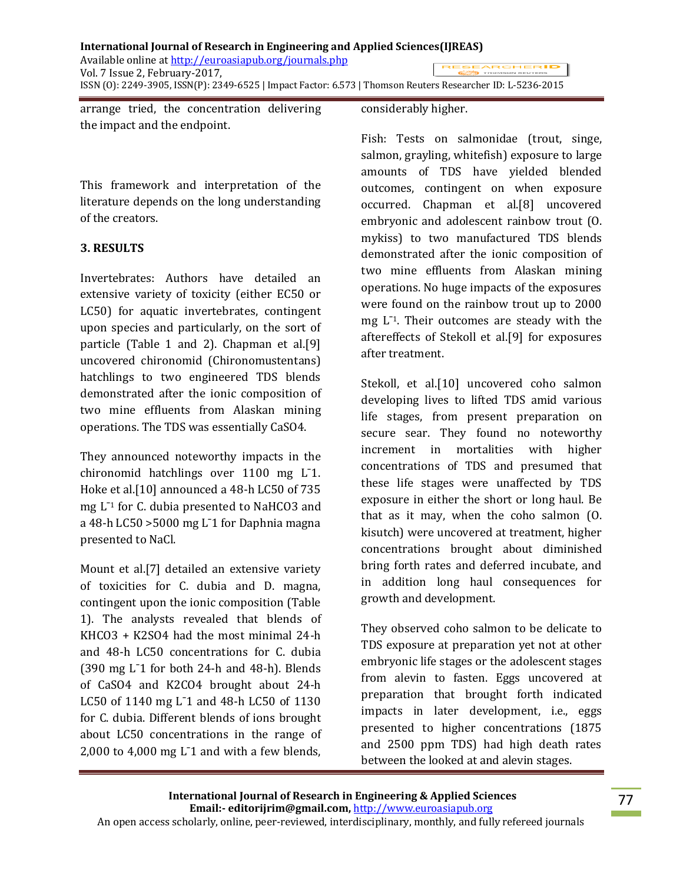arrange tried, the concentration delivering the impact and the endpoint.

# This framework and interpretation of the literature depends on the long understanding of the creators.

# **3. RESULTS**

Invertebrates: Authors have detailed an extensive variety of toxicity (either EC50 or LC50) for aquatic invertebrates, contingent upon species and particularly, on the sort of particle (Table 1 and 2). Chapman et al.[9] uncovered chironomid (Chironomustentans) hatchlings to two engineered TDS blends demonstrated after the ionic composition of two mine effluents from Alaskan mining operations. The TDS was essentially CaSO4.

They announced noteworthy impacts in the chironomid hatchlings over 1100 mg L¯1. Hoke et al.[10] announced a 48-h LC50 of 735 mg L¯<sup>1</sup> for C. dubia presented to NaHCO3 and a 48-h LC50 >5000 mg L¯1 for Daphnia magna presented to NaCl.

Mount et al.[7] detailed an extensive variety of toxicities for C. dubia and D. magna, contingent upon the ionic composition (Table 1). The analysts revealed that blends of KHCO3 + K2SO4 had the most minimal 24-h and 48-h LC50 concentrations for C. dubia  $(390 \text{ mg } L^21 \text{ for both } 24\text{-h and } 48\text{-h)}.$  Blends of CaSO4 and K2CO4 brought about 24-h LC50 of 1140 mg L<sup>-1</sup> and 48-h LC50 of 1130 for C. dubia. Different blends of ions brought about LC50 concentrations in the range of 2,000 to 4,000 mg  $L^2$  and with a few blends,

## considerably higher.

Fish: Tests on salmonidae (trout, singe, salmon, grayling, whitefish) exposure to large amounts of TDS have yielded blended outcomes, contingent on when exposure occurred. Chapman et al.[8] uncovered embryonic and adolescent rainbow trout (O. mykiss) to two manufactured TDS blends demonstrated after the ionic composition of two mine effluents from Alaskan mining operations. No huge impacts of the exposures were found on the rainbow trout up to 2000  $mg$   $L^{-1}$ . Their outcomes are steady with the aftereffects of Stekoll et al.[9] for exposures after treatment.

Stekoll, et al.[10] uncovered coho salmon developing lives to lifted TDS amid various life stages, from present preparation on secure sear. They found no noteworthy increment in mortalities with higher concentrations of TDS and presumed that these life stages were unaffected by TDS exposure in either the short or long haul. Be that as it may, when the coho salmon (O. kisutch) were uncovered at treatment, higher concentrations brought about diminished bring forth rates and deferred incubate, and in addition long haul consequences for growth and development.

They observed coho salmon to be delicate to TDS exposure at preparation yet not at other embryonic life stages or the adolescent stages from alevin to fasten. Eggs uncovered at preparation that brought forth indicated impacts in later development, i.e., eggs presented to higher concentrations (1875 and 2500 ppm TDS) had high death rates between the looked at and alevin stages.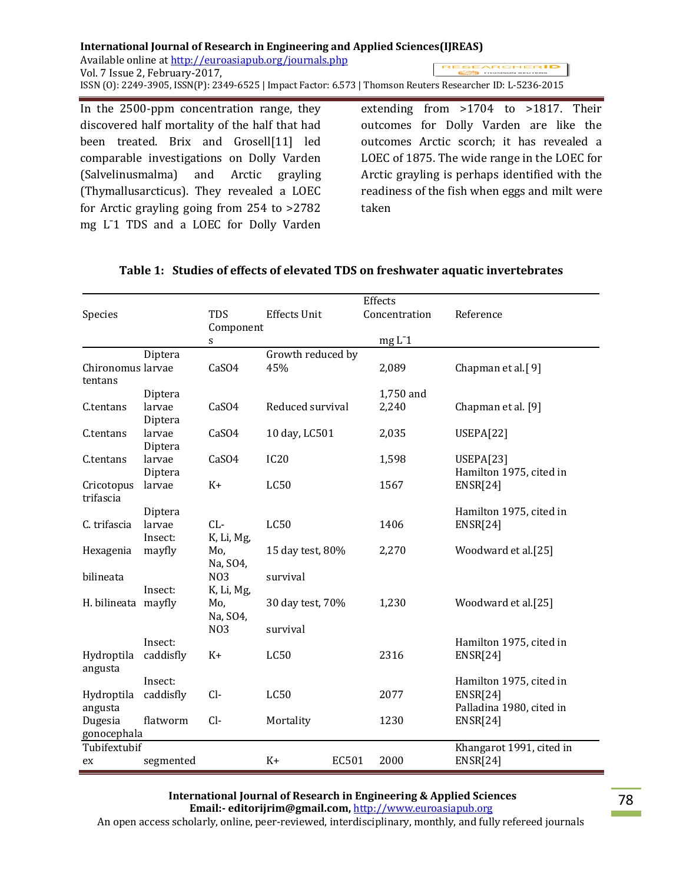In the 2500-ppm concentration range, they discovered half mortality of the half that had been treated. Brix and Grosell[11] led comparable investigations on Dolly Varden (Salvelinusmalma) and Arctic grayling (Thymallusarcticus). They revealed a LOEC for Arctic grayling going from 254 to >2782 mg L¯1 TDS and a LOEC for Dolly Varden extending from >1704 to >1817. Their outcomes for Dolly Varden are like the outcomes Arctic scorch; it has revealed a LOEC of 1875. The wide range in the LOEC for Arctic grayling is perhaps identified with the readiness of the fish when eggs and milt were taken

|                                          |           |                   |                     |       | Effects       |                          |
|------------------------------------------|-----------|-------------------|---------------------|-------|---------------|--------------------------|
| Species                                  |           | TDS               | <b>Effects Unit</b> |       | Concentration | Reference                |
|                                          |           | Component         |                     |       |               |                          |
|                                          |           | $\mathbf S$       |                     |       | $mgL-1$       |                          |
|                                          | Diptera   |                   | Growth reduced by   |       |               |                          |
| Chironomus larvae                        |           | CaSO4             | 45%                 |       | 2,089         | Chapman et al.[9]        |
| tentans                                  |           |                   |                     |       |               |                          |
|                                          | Diptera   |                   |                     |       | 1,750 and     |                          |
| C.tentans                                | larvae    | CaSO4             | Reduced survival    |       | 2,240         | Chapman et al. [9]       |
|                                          | Diptera   |                   |                     |       |               |                          |
| C.tentans                                | larvae    | CaSO4             | 10 day, LC501       |       | 2,035         | USEPA[22]                |
|                                          | Diptera   |                   |                     |       |               |                          |
| C.tentans                                | larvae    | CaSO4             | <b>IC20</b>         |       | 1,598         | <b>USEPA[23]</b>         |
|                                          | Diptera   |                   |                     |       |               | Hamilton 1975, cited in  |
| Cricotopus                               | larvae    | $K+$              | LC50                |       | 1567          | <b>ENSR[24]</b>          |
| trifascia                                |           |                   |                     |       |               |                          |
|                                          | Diptera   |                   |                     |       |               | Hamilton 1975, cited in  |
| C. trifascia                             | larvae    | $CL-$             | LC50                |       | 1406          | <b>ENSR[24]</b>          |
|                                          | Insect:   | K, Li, Mg,        |                     |       |               |                          |
| Hexagenia                                | mayfly    | Mo,               | 15 day test, 80%    |       | 2,270         | Woodward et al.[25]      |
|                                          |           | Na, SO4,          |                     |       |               |                          |
| bilineata                                | Insect:   | N <sub>0</sub> 3  | survival            |       |               |                          |
| H. bilineata mayfly                      |           | K, Li, Mg,<br>Mo, | 30 day test, 70%    |       | 1,230         | Woodward et al.[25]      |
|                                          |           | Na, SO4,          |                     |       |               |                          |
|                                          |           | N <sub>0</sub> 3  | survival            |       |               |                          |
|                                          | Insect:   |                   |                     |       |               | Hamilton 1975, cited in  |
| Hydroptila                               | caddisfly | $K+$              | <b>LC50</b>         |       | 2316          | <b>ENSR[24]</b>          |
| angusta                                  |           |                   |                     |       |               |                          |
|                                          | Insect:   |                   |                     |       |               | Hamilton 1975, cited in  |
| Hydroptila                               | caddisfly | $Cl-$             | LC50                |       | 2077          | <b>ENSR[24]</b>          |
| angusta                                  |           |                   |                     |       |               | Palladina 1980, cited in |
| Dugesia                                  | flatworm  | $Cl-$             | Mortality           |       | 1230          | <b>ENSR[24]</b>          |
| gonocephala                              |           |                   |                     |       |               |                          |
| Tubifextubif<br>Khangarot 1991, cited in |           |                   |                     |       |               |                          |
| ex                                       | segmented |                   | $K+$                | EC501 | 2000          | <b>ENSR[24]</b>          |
|                                          |           |                   |                     |       |               |                          |

# **Table 1: Studies of effects of elevated TDS on freshwater aquatic invertebrates**

**International Journal of Research in Engineering & Applied Sciences Email:- editorijrim@gmail.com,** http://www.euroasiapub.org

An open access scholarly, online, peer-reviewed, interdisciplinary, monthly, and fully refereed journals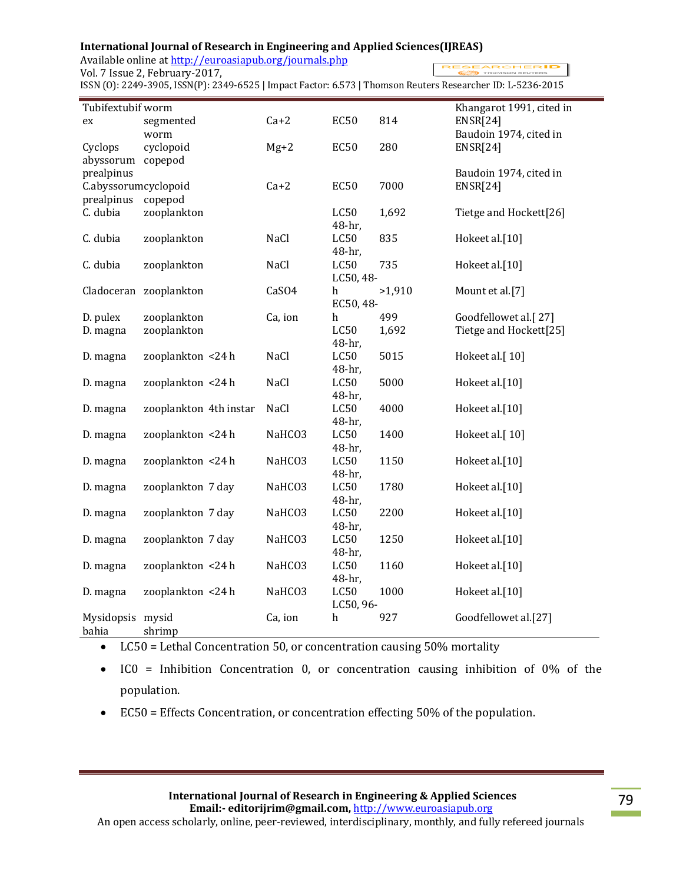## **International Journal of Research in Engineering and Applied Sciences(IJREAS)**

Available online at http://euroasiapub.org/journals.php

Vol. 7 Issue 2, February-2017,

**RESEARCHERID** 

ISSN (O): 2249-3905, ISSN(P): 2349-6525 | Impact Factor: 6.573 | Thomson Reuters Researcher ID: L-5236-2015

| Tubifextubif worm<br>Khangarot 1991, cited in |                        |         |                          |        |                        |  |
|-----------------------------------------------|------------------------|---------|--------------------------|--------|------------------------|--|
| ex                                            | segmented              | $Ca+2$  | <b>EC50</b>              | 814    | <b>ENSR[24]</b>        |  |
|                                               | worm                   |         |                          |        | Baudoin 1974, cited in |  |
| Cyclops                                       | cyclopoid              | $Mg+2$  | <b>EC50</b>              | 280    | <b>ENSR[24]</b>        |  |
| abyssorum                                     | copepod                |         |                          |        |                        |  |
| prealpinus                                    |                        |         |                          |        | Baudoin 1974, cited in |  |
| C.abyssorumcyclopoid                          |                        | $Ca+2$  | <b>EC50</b>              | 7000   | <b>ENSR[24]</b>        |  |
| prealpinus                                    | copepod                |         |                          |        |                        |  |
| C. dubia                                      | zooplankton            |         | LC50<br>48-hr,           | 1,692  | Tietge and Hockett[26] |  |
| C. dubia                                      | zooplankton            | NaCl    | LC50<br>48-hr,           | 835    | Hokeet al.[10]         |  |
| C. dubia                                      | zooplankton            | NaCl    | <b>LC50</b><br>LC50, 48- | 735    | Hokeet al.[10]         |  |
|                                               | Cladoceran zooplankton | CaSO4   | h                        | >1,910 | Mount et al.[7]        |  |
|                                               |                        |         | EC50, 48-                |        |                        |  |
| D. pulex                                      | zooplankton            | Ca, ion | h                        | 499    | Goodfellowet al.[27]   |  |
| D. magna                                      | zooplankton            |         | LC50                     | 1,692  | Tietge and Hockett[25] |  |
|                                               |                        |         | 48-hr,                   |        |                        |  |
| D. magna                                      | zooplankton <24 h      | NaCl    | LC50                     | 5015   | Hokeet al.[10]         |  |
|                                               |                        |         | 48-hr,                   |        |                        |  |
| D. magna                                      | zooplankton <24 h      | NaCl    | LC50                     | 5000   | Hokeet al.[10]         |  |
|                                               |                        |         | 48-hr,                   |        |                        |  |
| D. magna                                      | zooplankton 4th instar | NaCl    | LC50                     | 4000   | Hokeet al.[10]         |  |
|                                               |                        |         | 48-hr,                   |        |                        |  |
| D. magna                                      | zooplankton <24 h      | NaHCO3  | LC50                     | 1400   | Hokeet al.[10]         |  |
|                                               |                        |         | 48-hr,                   |        |                        |  |
| D. magna                                      | zooplankton <24 h      | NaHCO3  | LC50                     | 1150   | Hokeet al.[10]         |  |
|                                               |                        |         | 48-hr,                   |        |                        |  |
| D. magna                                      | zooplankton 7 day      | NaHCO3  | LC50                     | 1780   | Hokeet al.[10]         |  |
|                                               | zooplankton 7 day      |         | 48-hr,<br>LC50           | 2200   | Hokeet al.[10]         |  |
| D. magna                                      |                        | NaHCO3  |                          |        |                        |  |
|                                               | zooplankton 7 day      | NaHCO3  | 48-hr,<br><b>LC50</b>    | 1250   | Hokeet al.[10]         |  |
| D. magna                                      |                        |         | 48-hr,                   |        |                        |  |
| D. magna                                      | zooplankton <24 h      | NaHCO3  | LC50                     | 1160   | Hokeet al.[10]         |  |
|                                               |                        |         | 48-hr,                   |        |                        |  |
| D. magna                                      | zooplankton <24 h      | NaHCO3  | <b>LC50</b>              | 1000   | Hokeet al.[10]         |  |
|                                               |                        |         | LC50, 96-                |        |                        |  |
| Mysidopsis mysid                              |                        | Ca, ion | $\boldsymbol{h}$         | 927    | Goodfellowet al.[27]   |  |
| bahia                                         | shrimp                 |         |                          |        |                        |  |

- LC50 = Lethal Concentration 50, or concentration causing 50% mortality
- IC0 = Inhibition Concentration 0, or concentration causing inhibition of 0% of the population.
- EC50 = Effects Concentration, or concentration effecting 50% of the population.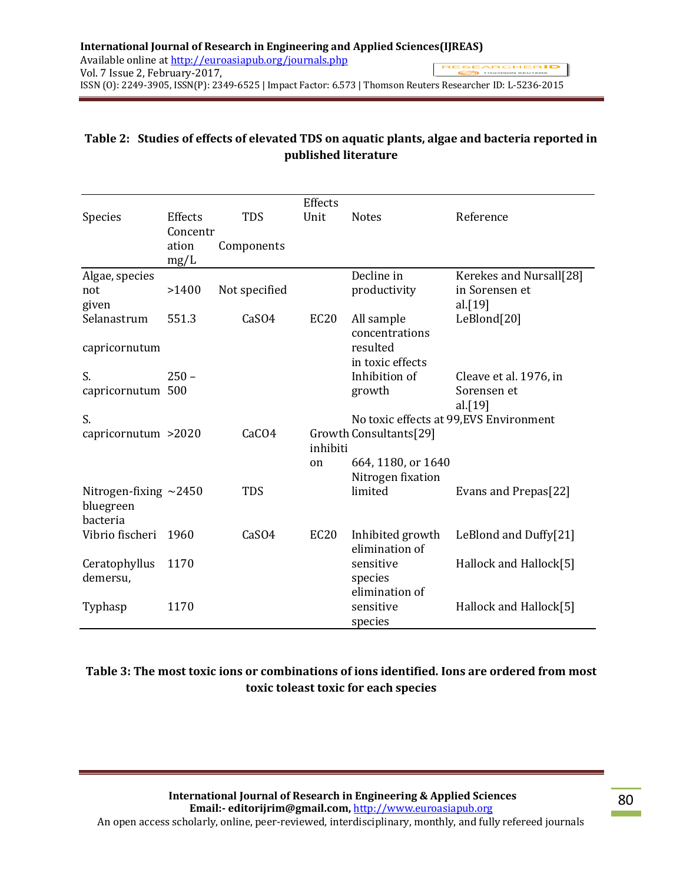# **Table 2: Studies of effects of elevated TDS on aquatic plants, algae and bacteria reported in published literature**

| Species                                              | Effects<br>Concentr | <b>TDS</b>    | Effects<br>Unit  | <b>Notes</b>                            | Reference                               |
|------------------------------------------------------|---------------------|---------------|------------------|-----------------------------------------|-----------------------------------------|
|                                                      | ation<br>mg/L       | Components    |                  |                                         |                                         |
| Algae, species                                       |                     |               |                  | Decline in                              | Kerekes and Nursall[28]                 |
| not<br>given                                         | >1400               | Not specified |                  | productivity                            | in Sorensen et<br>al.[19]               |
| Selanastrum                                          | 551.3               | CaSO4         | EC <sub>20</sub> | All sample<br>concentrations            | LeBlond[20]                             |
| capricornutum                                        |                     |               |                  | resulted<br>in toxic effects            |                                         |
| S.                                                   | $250 -$             |               |                  | Inhibition of                           | Cleave et al. 1976, in                  |
| capricornutum 500                                    |                     |               |                  | growth                                  | Sorensen et<br>al. $[19]$               |
| S.                                                   |                     |               |                  |                                         | No toxic effects at 99, EVS Environment |
| capricornutum >2020                                  |                     | CaCO4         | inhibiti         | Growth Consultants[29]                  |                                         |
|                                                      |                     |               | on               | 664, 1180, or 1640<br>Nitrogen fixation |                                         |
| Nitrogen-fixing $\sim$ 2450<br>bluegreen<br>bacteria |                     | <b>TDS</b>    |                  | limited                                 | Evans and Prepas[22]                    |
| Vibrio fischeri                                      | 1960                | CaSO4         | <b>EC20</b>      | Inhibited growth<br>elimination of      | LeBlond and Duffy[21]                   |
| Ceratophyllus<br>demersu,                            | 1170                |               |                  | sensitive<br>species<br>elimination of  | Hallock and Hallock[5]                  |
| Typhasp                                              | 1170                |               |                  | sensitive<br>species                    | Hallock and Hallock[5]                  |

# **Table 3: The most toxic ions or combinations of ions identified. Ions are ordered from most toxic toleast toxic for each species**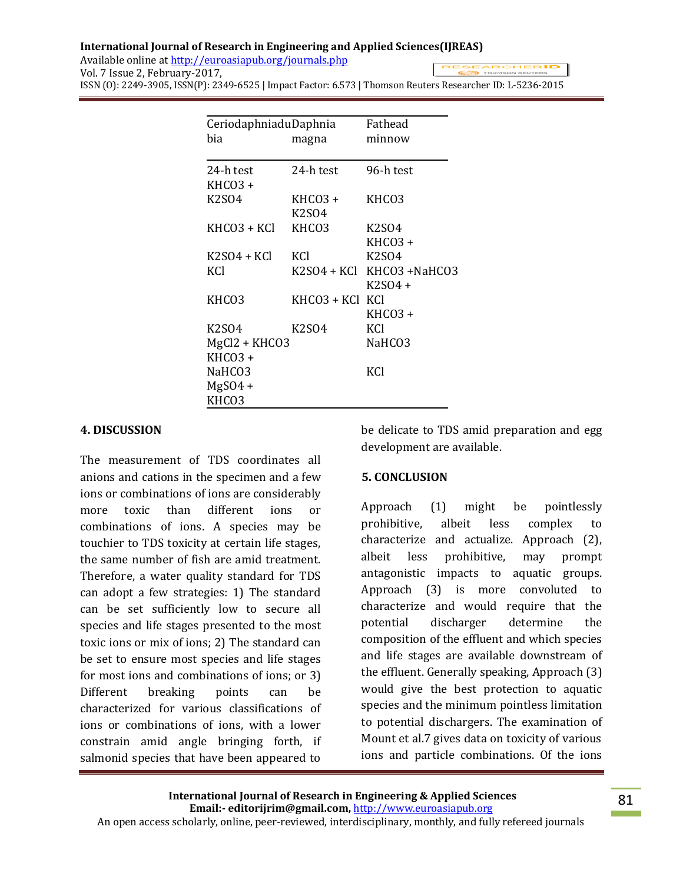#### **International Journal of Research in Engineering and Applied Sciences(IJREAS)** Available online at http://euroasiapub.org/journals.php **RESEARCHERID** Vol. 7 Issue 2, February-2017,

ISSN (O): 2249-3905, ISSN(P): 2349-6525 | Impact Factor: 6.573 | Thomson Reuters Researcher ID: L-5236-2015

| CeriodaphniaduDaphnia          | Fathead                        |                                |
|--------------------------------|--------------------------------|--------------------------------|
| bia                            | magna                          | minnow                         |
|                                |                                |                                |
| 24-h test                      | 24-h test                      | 96-h test                      |
| KHCO3 +                        |                                |                                |
| K <sub>2</sub> SO <sub>4</sub> | KHCO3 +                        | KHC <sub>O</sub> 3             |
|                                | K2S04                          |                                |
| KHCO3 + KCl                    | KHCO3                          | <b>K2SO4</b>                   |
|                                |                                | KHCO3 +                        |
| K2SO4 + KCl                    | KCl                            | K <sub>2</sub> SO <sub>4</sub> |
| KCI                            |                                | K2SO4 + KCl KHCO3 +NaHCO3      |
|                                |                                | $K2SO4 +$                      |
| KHCO3                          | KHCO3 + KCl                    | KCI                            |
|                                |                                | KHCO3 +                        |
| K2S04                          | K <sub>2</sub> S <sub>04</sub> | KCI                            |
| MgCl2 + KHCO3                  | NaHCO3                         |                                |
| KHCO <sub>3</sub> +            |                                |                                |
| NaHCO3                         |                                | KCI                            |
| $MgSO4 +$                      |                                |                                |
| KHCO3                          |                                |                                |

### **4. DISCUSSION**

The measurement of TDS coordinates all anions and cations in the specimen and a few ions or combinations of ions are considerably more toxic than different ions or combinations of ions. A species may be touchier to TDS toxicity at certain life stages, the same number of fish are amid treatment. Therefore, a water quality standard for TDS can adopt a few strategies: 1) The standard can be set sufficiently low to secure all species and life stages presented to the most toxic ions or mix of ions; 2) The standard can be set to ensure most species and life stages for most ions and combinations of ions; or 3) Different breaking points can be characterized for various classifications of ions or combinations of ions, with a lower constrain amid angle bringing forth, if salmonid species that have been appeared to be delicate to TDS amid preparation and egg development are available.

#### **5. CONCLUSION**

Approach (1) might be pointlessly prohibitive, albeit less complex to characterize and actualize. Approach (2), albeit less prohibitive, may prompt antagonistic impacts to aquatic groups. Approach (3) is more convoluted to characterize and would require that the potential discharger determine the composition of the effluent and which species and life stages are available downstream of the effluent. Generally speaking, Approach (3) would give the best protection to aquatic species and the minimum pointless limitation to potential dischargers. The examination of Mount et al.7 gives data on toxicity of various ions and particle combinations. Of the ions